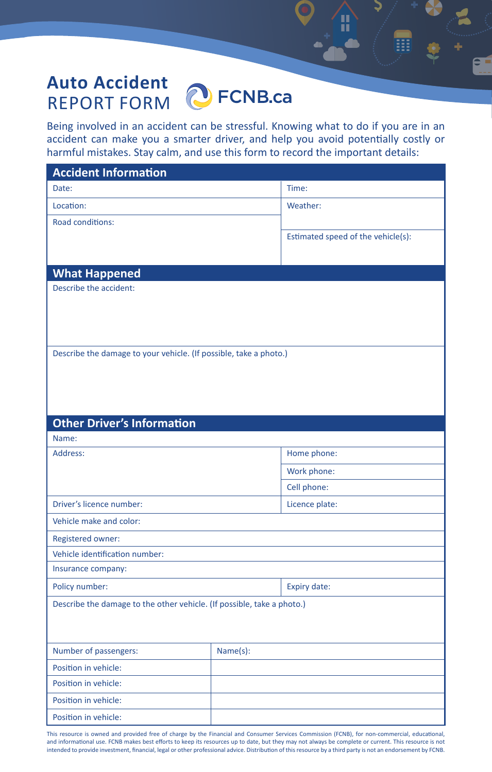## **Auto Accident D** FCNB.ca REPORT FORM

Being involved in an accident can be stressful. Knowing what to do if you are in an accident can make you a smarter driver, and help you avoid potentially costly or harmful mistakes. Stay calm, and use this form to record the important details:

П

| <b>Accident Information</b>                                            |          |                                    |  |
|------------------------------------------------------------------------|----------|------------------------------------|--|
| Date:                                                                  |          | Time:                              |  |
| Location:                                                              |          | Weather:                           |  |
| Road conditions:                                                       |          |                                    |  |
|                                                                        |          | Estimated speed of the vehicle(s): |  |
|                                                                        |          |                                    |  |
| <b>What Happened</b>                                                   |          |                                    |  |
| Describe the accident:                                                 |          |                                    |  |
|                                                                        |          |                                    |  |
|                                                                        |          |                                    |  |
|                                                                        |          |                                    |  |
| Describe the damage to your vehicle. (If possible, take a photo.)      |          |                                    |  |
|                                                                        |          |                                    |  |
|                                                                        |          |                                    |  |
|                                                                        |          |                                    |  |
| <b>Other Driver's Information</b>                                      |          |                                    |  |
| Name:                                                                  |          |                                    |  |
| Address:                                                               |          | Home phone:                        |  |
|                                                                        |          | Work phone:                        |  |
|                                                                        |          | Cell phone:                        |  |
| Driver's licence number:                                               |          | Licence plate:                     |  |
| Vehicle make and color:                                                |          |                                    |  |
| Registered owner:                                                      |          |                                    |  |
| Vehicle identification number:                                         |          |                                    |  |
| Insurance company:                                                     |          |                                    |  |
| Policy number:                                                         |          | <b>Expiry date:</b>                |  |
| Describe the damage to the other vehicle. (If possible, take a photo.) |          |                                    |  |
|                                                                        |          |                                    |  |
|                                                                        |          |                                    |  |
| Number of passengers:                                                  | Name(s): |                                    |  |
| Position in vehicle:                                                   |          |                                    |  |
| Position in vehicle:                                                   |          |                                    |  |
| Position in vehicle:                                                   |          |                                    |  |
| Position in vehicle:                                                   |          |                                    |  |

This resource is owned and provided free of charge by the Financial and Consumer Services Commission (FCNB), for non-commercial, educational, and informational use. FCNB makes best efforts to keep its resources up to date, but they may not always be complete or current. This resource is not intended to provide investment, financial, legal or other professional advice. Distribution of this resource by a third party is not an endorsement by FCNB.